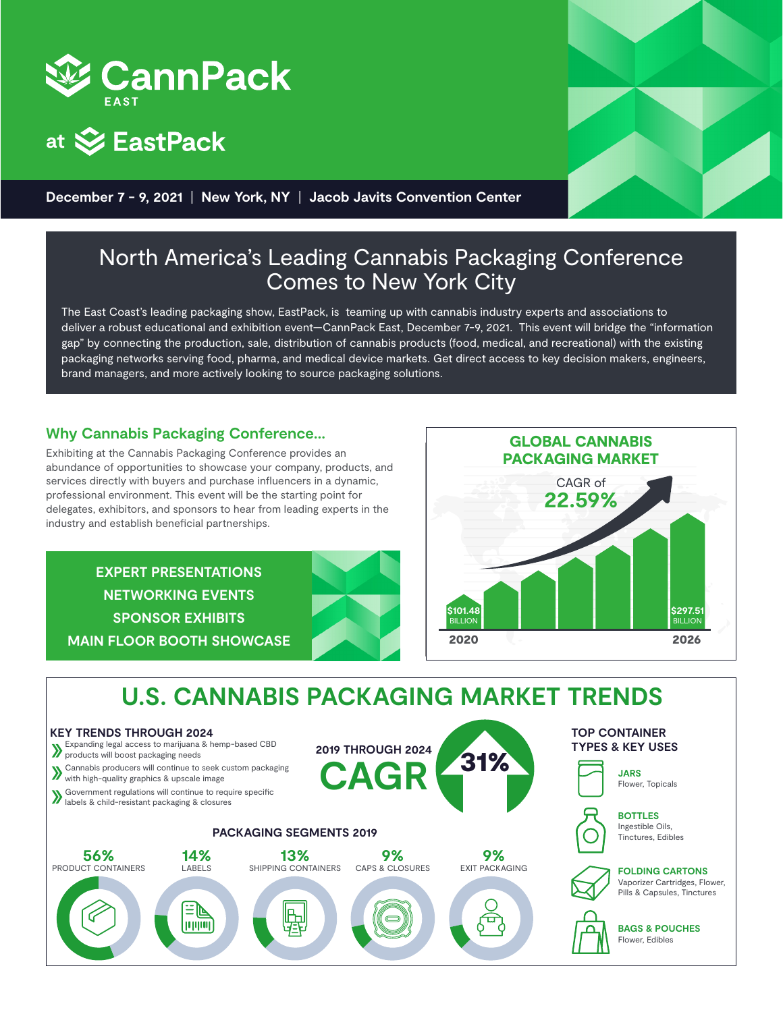





**December 7 - 9, 2021** | **New York, NY** | **Jacob Javits Convention Center**

## North America's Leading Cannabis Packaging Conference Comes to New York City

The East Coast's leading packaging show, EastPack, is teaming up with cannabis industry experts and associations to deliver a robust educational and exhibition event—CannPack East, December 7-9, 2021. This event will bridge the "information gap" by connecting the production, sale, distribution of cannabis products (food, medical, and recreational) with the existing packaging networks serving food, pharma, and medical device markets. Get direct access to key decision makers, engineers, brand managers, and more actively looking to source packaging solutions.

## **Why Cannabis Packaging Conference...**

Exhibiting at the Cannabis Packaging Conference provides an abundance of opportunities to showcase your company, products, and services directly with buyers and purchase influencers in a dynamic, professional environment. This event will be the starting point for delegates, exhibitors, and sponsors to hear from leading experts in the industry and establish beneficial partnerships.

**EXPERT PRESENTATIONS NETWORKING EVENTS SPONSOR EXHIBITS MAIN FLOOR BOOTH SHOWCASE**



## **U.S. CANNABIS PACKAGING MARKET TRENDS**